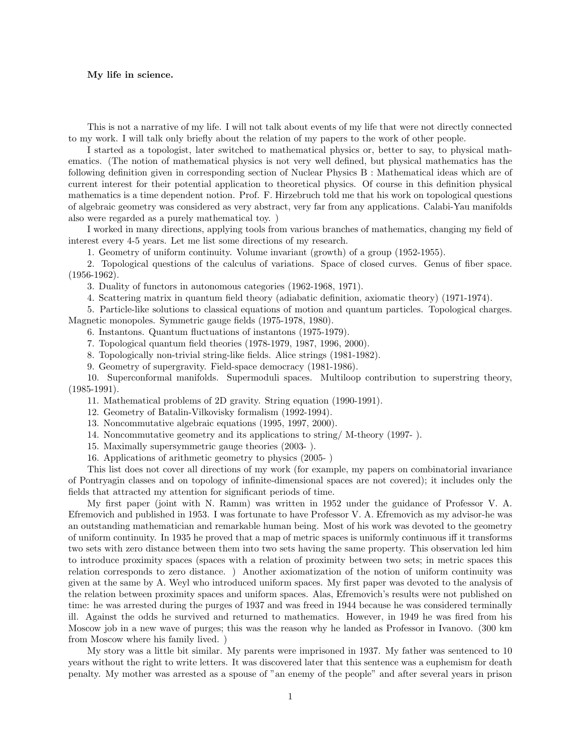## My life in science.

This is not a narrative of my life. I will not talk about events of my life that were not directly connected to my work. I will talk only briefly about the relation of my papers to the work of other people.

I started as a topologist, later switched to mathematical physics or, better to say, to physical mathematics. (The notion of mathematical physics is not very well defined, but physical mathematics has the following definition given in corresponding section of Nuclear Physics B : Mathematical ideas which are of current interest for their potential application to theoretical physics. Of course in this definition physical mathematics is a time dependent notion. Prof. F. Hirzebruch told me that his work on topological questions of algebraic geometry was considered as very abstract, very far from any applications. Calabi-Yau manifolds also were regarded as a purely mathematical toy. )

I worked in many directions, applying tools from various branches of mathematics, changing my field of interest every 4-5 years. Let me list some directions of my research.

1. Geometry of uniform continuity. Volume invariant (growth) of a group (1952-1955).

2. Topological questions of the calculus of variations. Space of closed curves. Genus of fiber space. (1956-1962).

3. Duality of functors in autonomous categories (1962-1968, 1971).

4. Scattering matrix in quantum field theory (adiabatic definition, axiomatic theory) (1971-1974).

5. Particle-like solutions to classical equations of motion and quantum particles. Topological charges. Magnetic monopoles. Symmetric gauge fields (1975-1978, 1980).

6. Instantons. Quantum fluctuations of instantons (1975-1979).

7. Topological quantum field theories (1978-1979, 1987, 1996, 2000).

8. Topologically non-trivial string-like fields. Alice strings (1981-1982).

9. Geometry of supergravity. Field-space democracy (1981-1986).

10. Superconformal manifolds. Supermoduli spaces. Multiloop contribution to superstring theory,  $(1985-1991)$ .

11. Mathematical problems of 2D gravity. String equation (1990-1991).

12. Geometry of Batalin-Vilkovisky formalism (1992-1994).

13. Noncommutative algebraic equations (1995, 1997, 2000).

14. Noncommutative geometry and its applications to string/ M-theory (1997- ).

15. Maximally supersymmetric gauge theories (2003- ).

16. Applications of arithmetic geometry to physics (2005- )

This list does not cover all directions of my work (for example, my papers on combinatorial invariance of Pontryagin classes and on topology of infinite-dimensional spaces are not covered); it includes only the fields that attracted my attention for significant periods of time.

My first paper (joint with N. Ramm) was written in 1952 under the guidance of Professor V. A. Efremovich and published in 1953. I was fortunate to have Professor V. A. Efremovich as my advisor-he was an outstanding mathematician and remarkable human being. Most of his work was devoted to the geometry of uniform continuity. In 1935 he proved that a map of metric spaces is uniformly continuous iff it transforms two sets with zero distance between them into two sets having the same property. This observation led him to introduce proximity spaces (spaces with a relation of proximity between two sets; in metric spaces this relation corresponds to zero distance. ) Another axiomatization of the notion of uniform continuity was given at the same by A. Weyl who introduced uniform spaces. My first paper was devoted to the analysis of the relation between proximity spaces and uniform spaces. Alas, Efremovich's results were not published on time: he was arrested during the purges of 1937 and was freed in 1944 because he was considered terminally ill. Against the odds he survived and returned to mathematics. However, in 1949 he was fired from his Moscow job in a new wave of purges; this was the reason why he landed as Professor in Ivanovo. (300 km from Moscow where his family lived. )

My story was a little bit similar. My parents were imprisoned in 1937. My father was sentenced to 10 years without the right to write letters. It was discovered later that this sentence was a euphemism for death penalty. My mother was arrested as a spouse of "an enemy of the people" and after several years in prison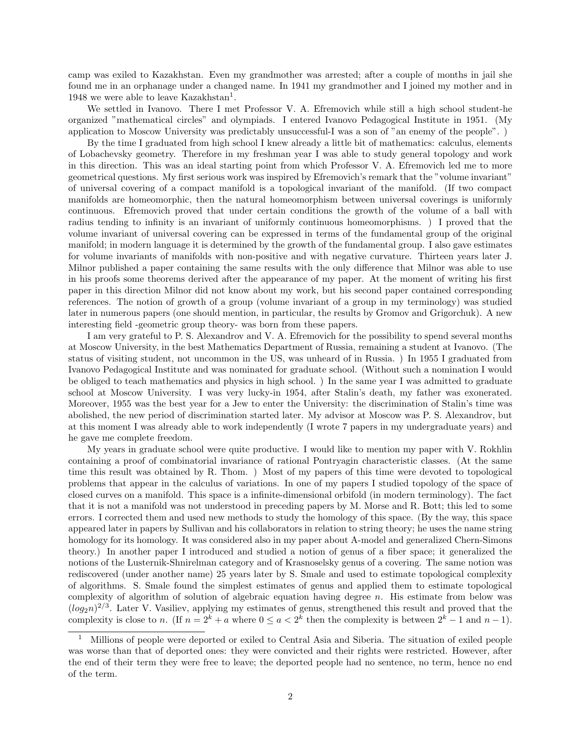camp was exiled to Kazakhstan. Even my grandmother was arrested; after a couple of months in jail she found me in an orphanage under a changed name. In 1941 my grandmother and I joined my mother and in 1948 we were able to leave Kazakhstan<sup>1</sup>.

We settled in Ivanovo. There I met Professor V. A. Efremovich while still a high school student-he organized "mathematical circles" and olympiads. I entered Ivanovo Pedagogical Institute in 1951. (My application to Moscow University was predictably unsuccessful-I was a son of "an enemy of the people". )

By the time I graduated from high school I knew already a little bit of mathematics: calculus, elements of Lobachevsky geometry. Therefore in my freshman year I was able to study general topology and work in this direction. This was an ideal starting point from which Professor V. A. Efremovich led me to more geometrical questions. My first serious work was inspired by Efremovich's remark that the "volume invariant" of universal covering of a compact manifold is a topological invariant of the manifold. (If two compact manifolds are homeomorphic, then the natural homeomorphism between universal coverings is uniformly continuous. Efremovich proved that under certain conditions the growth of the volume of a ball with radius tending to infinity is an invariant of uniformly continuous homeomorphisms. ) I proved that the volume invariant of universal covering can be expressed in terms of the fundamental group of the original manifold; in modern language it is determined by the growth of the fundamental group. I also gave estimates for volume invariants of manifolds with non-positive and with negative curvature. Thirteen years later J. Milnor published a paper containing the same results with the only difference that Milnor was able to use in his proofs some theorems derived after the appearance of my paper. At the moment of writing his first paper in this direction Milnor did not know about my work, but his second paper contained corresponding references. The notion of growth of a group (volume invariant of a group in my terminology) was studied later in numerous papers (one should mention, in particular, the results by Gromov and Grigorchuk). A new interesting field -geometric group theory- was born from these papers.

I am very grateful to P. S. Alexandrov and V. A. Efremovich for the possibility to spend several months at Moscow University, in the best Mathematics Department of Russia, remaining a student at Ivanovo. (The status of visiting student, not uncommon in the US, was unheard of in Russia. ) In 1955 I graduated from Ivanovo Pedagogical Institute and was nominated for graduate school. (Without such a nomination I would be obliged to teach mathematics and physics in high school. ) In the same year I was admitted to graduate school at Moscow University. I was very lucky-in 1954, after Stalin's death, my father was exonerated. Moreover, 1955 was the best year for a Jew to enter the University: the discrimination of Stalin's time was abolished, the new period of discrimination started later. My advisor at Moscow was P. S. Alexandrov, but at this moment I was already able to work independently (I wrote 7 papers in my undergraduate years) and he gave me complete freedom.

My years in graduate school were quite productive. I would like to mention my paper with V. Rokhlin containing a proof of combinatorial invariance of rational Pontryagin characteristic classes. (At the same time this result was obtained by R. Thom. ) Most of my papers of this time were devoted to topological problems that appear in the calculus of variations. In one of my papers I studied topology of the space of closed curves on a manifold. This space is a infinite-dimensional orbifold (in modern terminology). The fact that it is not a manifold was not understood in preceding papers by M. Morse and R. Bott; this led to some errors. I corrected them and used new methods to study the homology of this space. (By the way, this space appeared later in papers by Sullivan and his collaborators in relation to string theory; he uses the name string homology for its homology. It was considered also in my paper about A-model and generalized Chern-Simons theory.) In another paper I introduced and studied a notion of genus of a fiber space; it generalized the notions of the Lusternik-Shnirelman category and of Krasnoselsky genus of a covering. The same notion was rediscovered (under another name) 25 years later by S. Smale and used to estimate topological complexity of algorithms. S. Smale found the simplest estimates of genus and applied them to estimate topological complexity of algorithm of solution of algebraic equation having degree  $n$ . His estimate from below was  $(log<sub>2</sub>n)<sup>2/3</sup>$ . Later V. Vasiliev, applying my estimates of genus, strengthened this result and proved that the complexity is close to n. (If  $n = 2^k + a$  where  $0 \le a < 2^k$  then the complexity is between  $2^k - 1$  and  $n - 1$ ).

<sup>1</sup> Millions of people were deported or exiled to Central Asia and Siberia. The situation of exiled people was worse than that of deported ones: they were convicted and their rights were restricted. However, after the end of their term they were free to leave; the deported people had no sentence, no term, hence no end of the term.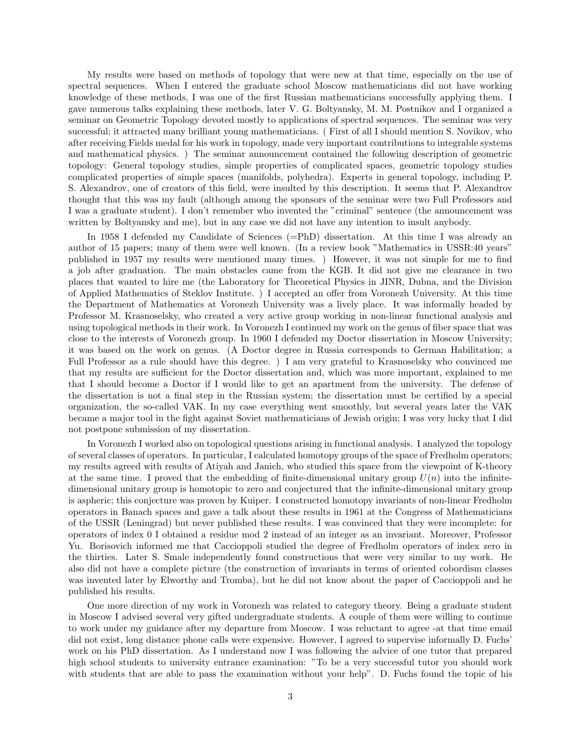My results were based on methods of topology that were new at that time, especially on the use of spectral sequences. When I entered the graduate school Moscow mathematicians did not have working knowledge of these methods, I was one of the first Russian mathematicians successfully applying them. I gave numerous talks explaining these methods, later V. G. Boltyansky, M. M. Postnikov and I organized a seminar on Geometric Topology devoted mostly to applications of spectral sequences. The seminar was very successful; it attracted many brilliant young mathematicians. ( First of all I should mention S. Novikov, who after receiving Fields medal for his work in topology, made very important contributions to integrable systems and mathematical physics. ) The seminar announcement contained the following description of geometric topology: General topology studies, simple properties of complicated spaces, geometric topology studies complicated properties of simple spaces (manifolds, polyhedra). Experts in general topology, including P. S. Alexandrov, one of creators of this field, were insulted by this description. It seems that P. Alexandrov thought that this was my fault (although among the sponsors of the seminar were two Full Professors and I was a graduate student). I don't remember who invented the "criminal" sentence (the announcement was written by Boltyansky and me), but in any case we did not have any intention to insult anybody.

In 1958 I defended my Candidate of Sciences (=PhD) dissertation. At this time I was already an author of 15 papers; many of them were well known. (In a review book "Mathematics in USSR:40 years" published in 1957 my results were mentioned many times. ) However, it was not simple for me to find a job after graduation. The main obstacles came from the KGB. It did not give me clearance in two places that wanted to hire me (the Laboratory for Theoretical Physics in JINR, Dubna, and the Division of Applied Mathematics of Steklov Institute. ) I accepted an offer from Voronezh University. At this time the Department of Mathematics at Voronezh University was a lively place. It was informally headed by Professor M. Krasnoselsky, who created a very active group working in non-linear functional analysis and using topological methods in their work. In Voronezh I continued my work on the genus of fiber space that was close to the interests of Voronezh group. In 1960 I defended my Doctor dissertation in Moscow University; it was based on the work on genus. (A Doctor degree in Russia corresponds to German Habilitation; a Full Professor as a rule should have this degree. ) I am very grateful to Krasnoselsky who convinced me that my results are sufficient for the Doctor dissertation and, which was more important, explained to me that I should become a Doctor if I would like to get an apartment from the university. The defense of the dissertation is not a final step in the Russian system; the dissertation must be certified by a special organization, the so-called VAK. In my case everything went smoothly, but several years later the VAK became a major tool in the fight against Soviet mathematicians of Jewish origin; I was very lucky that I did not postpone submission of my dissertation.

In Voronezh I worked also on topological questions arising in functional analysis. I analyzed the topology of several classes of operators. In particular, I calculated homotopy groups of the space of Fredholm operators; my results agreed with results of Atiyah and Janich, who studied this space from the viewpoint of K-theory at the same time. I proved that the embedding of finite-dimensional unitary group  $U(n)$  into the infinitedimensional unitary group is homotopic to zero and conjectured that the infinite-dimensional unitary group is aspheric; this conjecture was proven by Kuiper. I constructed homotopy invariants of non-linear Fredholm operators in Banach spaces and gave a talk about these results in 1961 at the Congress of Mathematicians of the USSR (Leningrad) but never published these results. I was convinced that they were incomplete: for operators of index 0 I obtained a residue mod 2 instead of an integer as an invariant. Moreover, Professor Yu. Borisovich informed me that Caccioppoli studied the degree of Fredholm operators of index zero in the thirties. Later S. Smale independently found constructions that were very similar to my work. He also did not have a complete picture (the construction of invariants in terms of oriented cobordism classes was invented later by Elworthy and Tromba), but he did not know about the paper of Caccioppoli and he published his results.

One more direction of my work in Voronezh was related to category theory. Being a graduate student in Moscow I advised several very gifted undergraduate students. A couple of them were willing to continue to work under my guidance after my departure from Moscow. I was reluctant to agree -at that time email did not exist, long distance phone calls were expensive. However, I agreed to supervise informally D. Fuchs' work on his PhD dissertation. As I understand now I was following the advice of one tutor that prepared high school students to university entrance examination: "To be a very successful tutor you should work with students that are able to pass the examination without your help". D. Fuchs found the topic of his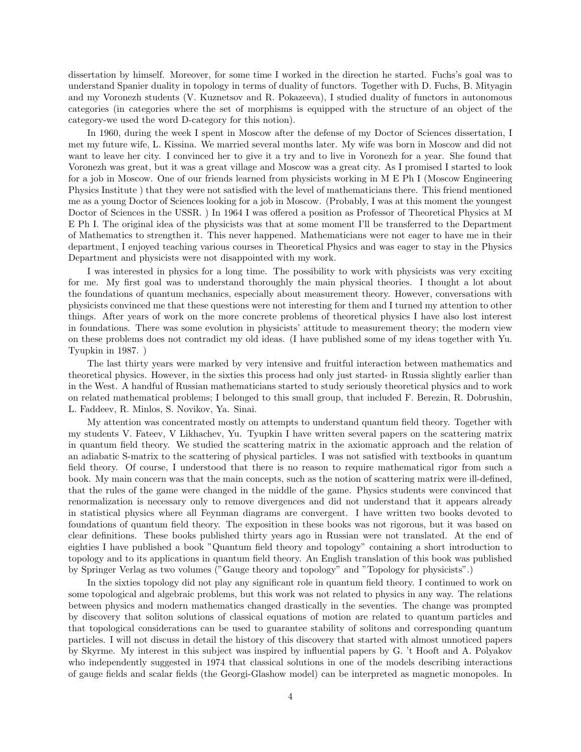dissertation by himself. Moreover, for some time I worked in the direction he started. Fuchs's goal was to understand Spanier duality in topology in terms of duality of functors. Together with D. Fuchs, B. Mityagin and my Voronezh students (V. Kuznetsov and R. Pokazeeva), I studied duality of functors in autonomous categories (in categories where the set of morphisms is equipped with the structure of an object of the category-we used the word D-category for this notion).

In 1960, during the week I spent in Moscow after the defense of my Doctor of Sciences dissertation, I met my future wife, L. Kissina. We married several months later. My wife was born in Moscow and did not want to leave her city. I convinced her to give it a try and to live in Voronezh for a year. She found that Voronezh was great, but it was a great village and Moscow was a great city. As I promised I started to look for a job in Moscow. One of our friends learned from physicists working in M E Ph I (Moscow Engineering Physics Institute ) that they were not satisfied with the level of mathematicians there. This friend mentioned me as a young Doctor of Sciences looking for a job in Moscow. (Probably, I was at this moment the youngest Doctor of Sciences in the USSR. ) In 1964 I was offered a position as Professor of Theoretical Physics at M E Ph I. The original idea of the physicists was that at some moment I'll be transferred to the Department of Mathematics to strengthen it. This never happened. Mathematicians were not eager to have me in their department, I enjoyed teaching various courses in Theoretical Physics and was eager to stay in the Physics Department and physicists were not disappointed with my work.

I was interested in physics for a long time. The possibility to work with physicists was very exciting for me. My first goal was to understand thoroughly the main physical theories. I thought a lot about the foundations of quantum mechanics, especially about measurement theory. However, conversations with physicists convinced me that these questions were not interesting for them and I turned my attention to other things. After years of work on the more concrete problems of theoretical physics I have also lost interest in foundations. There was some evolution in physicists' attitude to measurement theory; the modern view on these problems does not contradict my old ideas. (I have published some of my ideas together with Yu. Tyupkin in 1987. )

The last thirty years were marked by very intensive and fruitful interaction between mathematics and theoretical physics. However, in the sixties this process had only just started- in Russia slightly earlier than in the West. A handful of Russian mathematicians started to study seriously theoretical physics and to work on related mathematical problems; I belonged to this small group, that included F. Berezin, R. Dobrushin, L. Faddeev, R. Minlos, S. Novikov, Ya. Sinai.

My attention was concentrated mostly on attempts to understand quantum field theory. Together with my students V. Fateev, V Likhachev, Yu. Tyupkin I have written several papers on the scattering matrix in quantum field theory. We studied the scattering matrix in the axiomatic approach and the relation of an adiabatic S-matrix to the scattering of physical particles. I was not satisfied with textbooks in quantum field theory. Of course, I understood that there is no reason to require mathematical rigor from such a book. My main concern was that the main concepts, such as the notion of scattering matrix were ill-defined, that the rules of the game were changed in the middle of the game. Physics students were convinced that renormalization is necessary only to remove divergences and did not understand that it appears already in statistical physics where all Feynman diagrams are convergent. I have written two books devoted to foundations of quantum field theory. The exposition in these books was not rigorous, but it was based on clear definitions. These books published thirty years ago in Russian were not translated. At the end of eighties I have published a book "Quantum field theory and topology" containing a short introduction to topology and to its applications in quantum field theory. An English translation of this book was published by Springer Verlag as two volumes ("Gauge theory and topology" and "Topology for physicists".)

In the sixties topology did not play any significant role in quantum field theory. I continued to work on some topological and algebraic problems, but this work was not related to physics in any way. The relations between physics and modern mathematics changed drastically in the seventies. The change was prompted by discovery that soliton solutions of classical equations of motion are related to quantum particles and that topological considerations can be used to guarantee stability of solitons and corresponding quantum particles. I will not discuss in detail the history of this discovery that started with almost unnoticed papers by Skyrme. My interest in this subject was inspired by influential papers by G. 't Hooft and A. Polyakov who independently suggested in 1974 that classical solutions in one of the models describing interactions of gauge fields and scalar fields (the Georgi-Glashow model) can be interpreted as magnetic monopoles. In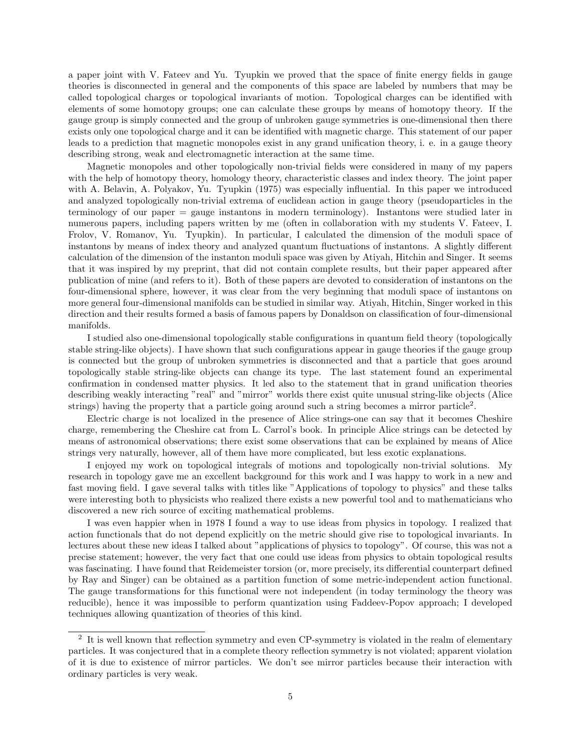a paper joint with V. Fateev and Yu. Tyupkin we proved that the space of finite energy fields in gauge theories is disconnected in general and the components of this space are labeled by numbers that may be called topological charges or topological invariants of motion. Topological charges can be identified with elements of some homotopy groups; one can calculate these groups by means of homotopy theory. If the gauge group is simply connected and the group of unbroken gauge symmetries is one-dimensional then there exists only one topological charge and it can be identified with magnetic charge. This statement of our paper leads to a prediction that magnetic monopoles exist in any grand unification theory, i. e. in a gauge theory describing strong, weak and electromagnetic interaction at the same time.

Magnetic monopoles and other topologically non-trivial fields were considered in many of my papers with the help of homotopy theory, homology theory, characteristic classes and index theory. The joint paper with A. Belavin, A. Polyakov, Yu. Tyupkin (1975) was especially influential. In this paper we introduced and analyzed topologically non-trivial extrema of euclidean action in gauge theory (pseudoparticles in the terminology of our paper = gauge instantons in modern terminology). Instantons were studied later in numerous papers, including papers written by me (often in collaboration with my students V. Fateev, I. Frolov, V. Romanov, Yu. Tyupkin). In particular, I calculated the dimension of the moduli space of instantons by means of index theory and analyzed quantum fluctuations of instantons. A slightly different calculation of the dimension of the instanton moduli space was given by Atiyah, Hitchin and Singer. It seems that it was inspired by my preprint, that did not contain complete results, but their paper appeared after publication of mine (and refers to it). Both of these papers are devoted to consideration of instantons on the four-dimensional sphere, however, it was clear from the very beginning that moduli space of instantons on more general four-dimensional manifolds can be studied in similar way. Atiyah, Hitchin, Singer worked in this direction and their results formed a basis of famous papers by Donaldson on classification of four-dimensional manifolds.

I studied also one-dimensional topologically stable configurations in quantum field theory (topologically stable string-like objects). I have shown that such configurations appear in gauge theories if the gauge group is connected but the group of unbroken symmetries is disconnected and that a particle that goes around topologically stable string-like objects can change its type. The last statement found an experimental confirmation in condensed matter physics. It led also to the statement that in grand unification theories describing weakly interacting "real" and "mirror" worlds there exist quite unusual string-like objects (Alice strings) having the property that a particle going around such a string becomes a mirror particle<sup>2</sup>.

Electric charge is not localized in the presence of Alice strings-one can say that it becomes Cheshire charge, remembering the Cheshire cat from L. Carrol's book. In principle Alice strings can be detected by means of astronomical observations; there exist some observations that can be explained by means of Alice strings very naturally, however, all of them have more complicated, but less exotic explanations.

I enjoyed my work on topological integrals of motions and topologically non-trivial solutions. My research in topology gave me an excellent background for this work and I was happy to work in a new and fast moving field. I gave several talks with titles like "Applications of topology to physics" and these talks were interesting both to physicists who realized there exists a new powerful tool and to mathematicians who discovered a new rich source of exciting mathematical problems.

I was even happier when in 1978 I found a way to use ideas from physics in topology. I realized that action functionals that do not depend explicitly on the metric should give rise to topological invariants. In lectures about these new ideas I talked about "applications of physics to topology". Of course, this was not a precise statement; however, the very fact that one could use ideas from physics to obtain topological results was fascinating. I have found that Reidemeister torsion (or, more precisely, its differential counterpart defined by Ray and Singer) can be obtained as a partition function of some metric-independent action functional. The gauge transformations for this functional were not independent (in today terminology the theory was reducible), hence it was impossible to perform quantization using Faddeev-Popov approach; I developed techniques allowing quantization of theories of this kind.

<sup>&</sup>lt;sup>2</sup> It is well known that reflection symmetry and even CP-symmetry is violated in the realm of elementary particles. It was conjectured that in a complete theory reflection symmetry is not violated; apparent violation of it is due to existence of mirror particles. We don't see mirror particles because their interaction with ordinary particles is very weak.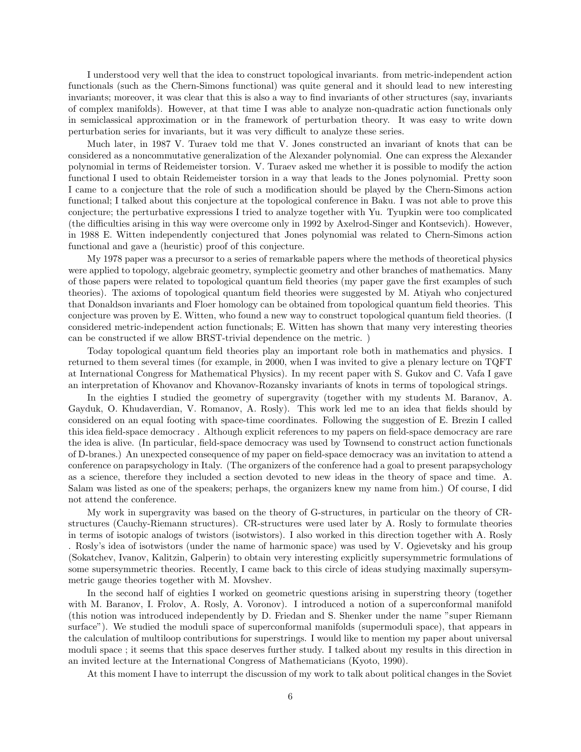I understood very well that the idea to construct topological invariants. from metric-independent action functionals (such as the Chern-Simons functional) was quite general and it should lead to new interesting invariants; moreover, it was clear that this is also a way to find invariants of other structures (say, invariants of complex manifolds). However, at that time I was able to analyze non-quadratic action functionals only in semiclassical approximation or in the framework of perturbation theory. It was easy to write down perturbation series for invariants, but it was very difficult to analyze these series.

Much later, in 1987 V. Turaev told me that V. Jones constructed an invariant of knots that can be considered as a noncommutative generalization of the Alexander polynomial. One can express the Alexander polynomial in terms of Reidemeister torsion. V. Turaev asked me whether it is possible to modify the action functional I used to obtain Reidemeister torsion in a way that leads to the Jones polynomial. Pretty soon I came to a conjecture that the role of such a modification should be played by the Chern-Simons action functional; I talked about this conjecture at the topological conference in Baku. I was not able to prove this conjecture; the perturbative expressions I tried to analyze together with Yu. Tyupkin were too complicated (the difficulties arising in this way were overcome only in 1992 by Axelrod-Singer and Kontsevich). However, in 1988 E. Witten independently conjectured that Jones polynomial was related to Chern-Simons action functional and gave a (heuristic) proof of this conjecture.

My 1978 paper was a precursor to a series of remarkable papers where the methods of theoretical physics were applied to topology, algebraic geometry, symplectic geometry and other branches of mathematics. Many of those papers were related to topological quantum field theories (my paper gave the first examples of such theories). The axioms of topological quantum field theories were suggested by M. Atiyah who conjectured that Donaldson invariants and Floer homology can be obtained from topological quantum field theories. This conjecture was proven by E. Witten, who found a new way to construct topological quantum field theories. (I considered metric-independent action functionals; E. Witten has shown that many very interesting theories can be constructed if we allow BRST-trivial dependence on the metric. )

Today topological quantum field theories play an important role both in mathematics and physics. I returned to them several times (for example, in 2000, when I was invited to give a plenary lecture on TQFT at International Congress for Mathematical Physics). In my recent paper with S. Gukov and C. Vafa I gave an interpretation of Khovanov and Khovanov-Rozansky invariants of knots in terms of topological strings.

In the eighties I studied the geometry of supergravity (together with my students M. Baranov, A. Gayduk, O. Khudaverdian, V. Romanov, A. Rosly). This work led me to an idea that fields should by considered on an equal footing with space-time coordinates. Following the suggestion of E. Brezin I called this idea field-space democracy . Although explicit references to my papers on field-space democracy are rare the idea is alive. (In particular, field-space democracy was used by Townsend to construct action functionals of D-branes.) An unexpected consequence of my paper on field-space democracy was an invitation to attend a conference on parapsychology in Italy. (The organizers of the conference had a goal to present parapsychology as a science, therefore they included a section devoted to new ideas in the theory of space and time. A. Salam was listed as one of the speakers; perhaps, the organizers knew my name from him.) Of course, I did not attend the conference.

My work in supergravity was based on the theory of G-structures, in particular on the theory of CRstructures (Cauchy-Riemann structures). CR-structures were used later by A. Rosly to formulate theories in terms of isotopic analogs of twistors (isotwistors). I also worked in this direction together with A. Rosly . Rosly's idea of isotwistors (under the name of harmonic space) was used by V. Ogievetsky and his group (Sokatchev, Ivanov, Kalitzin, Galperin) to obtain very interesting explicitly supersymmetric formulations of some supersymmetric theories. Recently, I came back to this circle of ideas studying maximally supersymmetric gauge theories together with M. Movshev.

In the second half of eighties I worked on geometric questions arising in superstring theory (together with M. Baranov, I. Frolov, A. Rosly, A. Voronov). I introduced a notion of a superconformal manifold (this notion was introduced independently by D. Friedan and S. Shenker under the name "super Riemann surface"). We studied the moduli space of superconformal manifolds (supermoduli space), that appears in the calculation of multiloop contributions for superstrings. I would like to mention my paper about universal moduli space ; it seems that this space deserves further study. I talked about my results in this direction in an invited lecture at the International Congress of Mathematicians (Kyoto, 1990).

At this moment I have to interrupt the discussion of my work to talk about political changes in the Soviet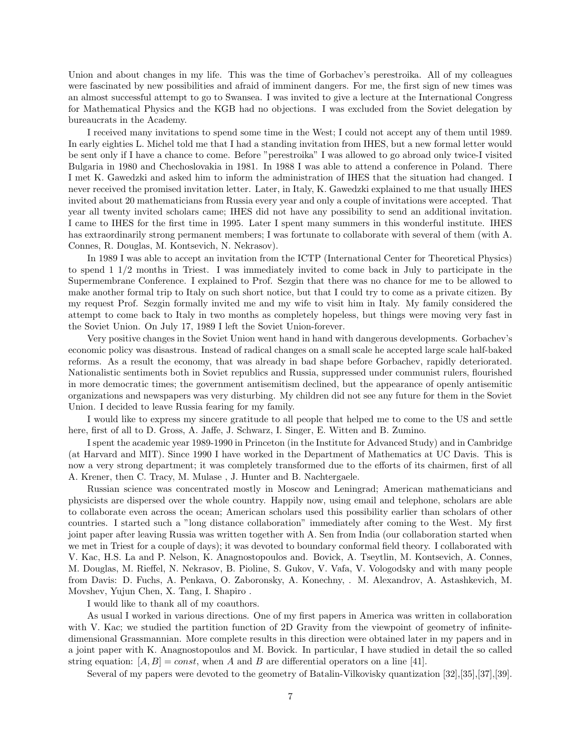Union and about changes in my life. This was the time of Gorbachev's perestroika. All of my colleagues were fascinated by new possibilities and afraid of imminent dangers. For me, the first sign of new times was an almost successful attempt to go to Swansea. I was invited to give a lecture at the International Congress for Mathematical Physics and the KGB had no objections. I was excluded from the Soviet delegation by bureaucrats in the Academy.

I received many invitations to spend some time in the West; I could not accept any of them until 1989. In early eighties L. Michel told me that I had a standing invitation from IHES, but a new formal letter would be sent only if I have a chance to come. Before "perestroika" I was allowed to go abroad only twice-I visited Bulgaria in 1980 and Chechoslovakia in 1981. In 1988 I was able to attend a conference in Poland. There I met K. Gawedzki and asked him to inform the administration of IHES that the situation had changed. I never received the promised invitation letter. Later, in Italy, K. Gawedzki explained to me that usually IHES invited about 20 mathematicians from Russia every year and only a couple of invitations were accepted. That year all twenty invited scholars came; IHES did not have any possibility to send an additional invitation. I came to IHES for the first time in 1995. Later I spent many summers in this wonderful institute. IHES has extraordinarily strong permanent members; I was fortunate to collaborate with several of them (with A. Connes, R. Douglas, M. Kontsevich, N. Nekrasov).

In 1989 I was able to accept an invitation from the ICTP (International Center for Theoretical Physics) to spend 1 1/2 months in Triest. I was immediately invited to come back in July to participate in the Supermembrane Conference. I explained to Prof. Sezgin that there was no chance for me to be allowed to make another formal trip to Italy on such short notice, but that I could try to come as a private citizen. By my request Prof. Sezgin formally invited me and my wife to visit him in Italy. My family considered the attempt to come back to Italy in two months as completely hopeless, but things were moving very fast in the Soviet Union. On July 17, 1989 I left the Soviet Union-forever.

Very positive changes in the Soviet Union went hand in hand with dangerous developments. Gorbachev's economic policy was disastrous. Instead of radical changes on a small scale he accepted large scale half-baked reforms. As a result the economy, that was already in bad shape before Gorbachev, rapidly deteriorated. Nationalistic sentiments both in Soviet republics and Russia, suppressed under communist rulers, flourished in more democratic times; the government antisemitism declined, but the appearance of openly antisemitic organizations and newspapers was very disturbing. My children did not see any future for them in the Soviet Union. I decided to leave Russia fearing for my family.

I would like to express my sincere gratitude to all people that helped me to come to the US and settle here, first of all to D. Gross, A. Jaffe, J. Schwarz, I. Singer, E. Witten and B. Zumino.

I spent the academic year 1989-1990 in Princeton (in the Institute for Advanced Study) and in Cambridge (at Harvard and MIT). Since 1990 I have worked in the Department of Mathematics at UC Davis. This is now a very strong department; it was completely transformed due to the efforts of its chairmen, first of all A. Krener, then C. Tracy, M. Mulase , J. Hunter and B. Nachtergaele.

Russian science was concentrated mostly in Moscow and Leningrad; American mathematicians and physicists are dispersed over the whole country. Happily now, using email and telephone, scholars are able to collaborate even across the ocean; American scholars used this possibility earlier than scholars of other countries. I started such a "long distance collaboration" immediately after coming to the West. My first joint paper after leaving Russia was written together with A. Sen from India (our collaboration started when we met in Triest for a couple of days); it was devoted to boundary conformal field theory. I collaborated with V. Kac, H.S. La and P. Nelson, K. Anagnostopoulos and. Bovick, A. Tseytlin, M. Kontsevich, A. Connes, M. Douglas, M. Rieffel, N. Nekrasov, B. Pioline, S. Gukov, V. Vafa, V. Vologodsky and with many people from Davis: D. Fuchs, A. Penkava, O. Zaboronsky, A. Konechny, . M. Alexandrov, A. Astashkevich, M. Movshev, Yujun Chen, X. Tang, I. Shapiro .

I would like to thank all of my coauthors.

As usual I worked in various directions. One of my first papers in America was written in collaboration with V. Kac; we studied the partition function of 2D Gravity from the viewpoint of geometry of infinitedimensional Grassmannian. More complete results in this direction were obtained later in my papers and in a joint paper with K. Anagnostopoulos and M. Bovick. In particular, I have studied in detail the so called string equation:  $[A, B] = const$ , when A and B are differential operators on a line [41].

Several of my papers were devoted to the geometry of Batalin-Vilkovisky quantization [32],[35],[37],[39].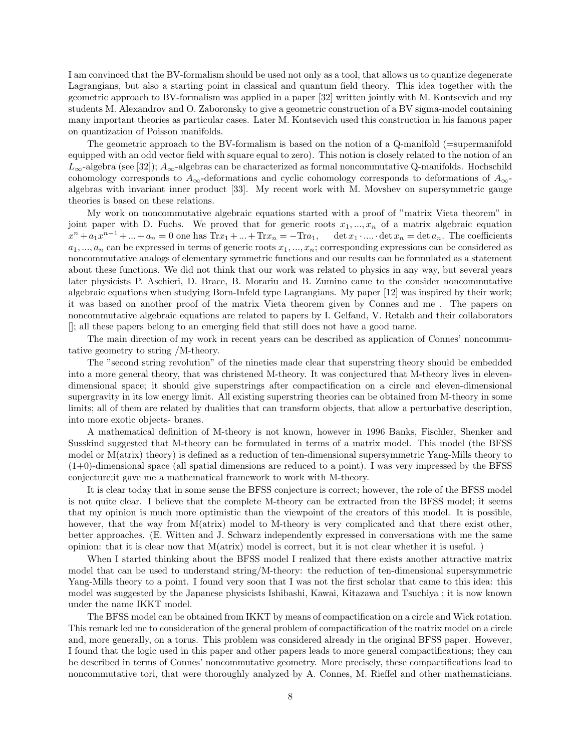I am convinced that the BV-formalism should be used not only as a tool, that allows us to quantize degenerate Lagrangians, but also a starting point in classical and quantum field theory. This idea together with the geometric approach to BV-formalism was applied in a paper [32] written jointly with M. Kontsevich and my students M. Alexandrov and O. Zaboronsky to give a geometric construction of a BV sigma-model containing many important theories as particular cases. Later M. Kontsevich used this construction in his famous paper on quantization of Poisson manifolds.

The geometric approach to the BV-formalism is based on the notion of a  $Q$ -manifold ( $=$ supermanifold equipped with an odd vector field with square equal to zero). This notion is closely related to the notion of an  $L_{\infty}$ -algebra (see [32]);  $A_{\infty}$ -algebras can be characterized as formal noncommutative Q-manifolds. Hochschild cohomology corresponds to  $A_{\infty}$ -deformations and cyclic cohomology corresponds to deformations of  $A_{\infty}$ algebras with invariant inner product [33]. My recent work with M. Movshev on supersymmetric gauge theories is based on these relations.

My work on noncommutative algebraic equations started with a proof of "matrix Vieta theorem" in joint paper with D. Fuchs. We proved that for generic roots  $x_1, \ldots, x_n$  of a matrix algebraic equation  $x^n + a_1x^{n-1} + ... + a_n = 0$  one has  $\text{Tr}x_1 + ... + \text{Tr}x_n = -\text{Tr}a_1$ ,  $\det x_1 \cdot ... \cdot \det x_n = \det a_n$ . The coefficients  $a_1, ..., a_n$  can be expressed in terms of generic roots  $x_1, ..., x_n$ ; corresponding expressions can be considered as noncommutative analogs of elementary symmetric functions and our results can be formulated as a statement about these functions. We did not think that our work was related to physics in any way, but several years later physicists P. Aschieri, D. Brace, B. Morariu and B. Zumino came to the consider noncommutative algebraic equations when studying Born-Infeld type Lagrangians. My paper [12] was inspired by their work; it was based on another proof of the matrix Vieta theorem given by Connes and me . The papers on noncommutative algebraic equations are related to papers by I. Gelfand, V. Retakh and their collaborators []; all these papers belong to an emerging field that still does not have a good name.

The main direction of my work in recent years can be described as application of Connes' noncommutative geometry to string /M-theory.

The "second string revolution" of the nineties made clear that superstring theory should be embedded into a more general theory, that was christened M-theory. It was conjectured that M-theory lives in elevendimensional space; it should give superstrings after compactification on a circle and eleven-dimensional supergravity in its low energy limit. All existing superstring theories can be obtained from M-theory in some limits; all of them are related by dualities that can transform objects, that allow a perturbative description, into more exotic objects- branes.

A mathematical definition of M-theory is not known, however in 1996 Banks, Fischler, Shenker and Susskind suggested that M-theory can be formulated in terms of a matrix model. This model (the BFSS model or M(atrix) theory) is defined as a reduction of ten-dimensional supersymmetric Yang-Mills theory to  $(1+0)$ -dimensional space (all spatial dimensions are reduced to a point). I was very impressed by the BFSS conjecture;it gave me a mathematical framework to work with M-theory.

It is clear today that in some sense the BFSS conjecture is correct; however, the role of the BFSS model is not quite clear. I believe that the complete M-theory can be extracted from the BFSS model; it seems that my opinion is much more optimistic than the viewpoint of the creators of this model. It is possible, however, that the way from M(atrix) model to M-theory is very complicated and that there exist other, better approaches. (E. Witten and J. Schwarz independently expressed in conversations with me the same opinion: that it is clear now that M(atrix) model is correct, but it is not clear whether it is useful. )

When I started thinking about the BFSS model I realized that there exists another attractive matrix model that can be used to understand string/M-theory: the reduction of ten-dimensional supersymmetric Yang-Mills theory to a point. I found very soon that I was not the first scholar that came to this idea: this model was suggested by the Japanese physicists Ishibashi, Kawai, Kitazawa and Tsuchiya ; it is now known under the name IKKT model.

The BFSS model can be obtained from IKKT by means of compactification on a circle and Wick rotation. This remark led me to consideration of the general problem of compactification of the matrix model on a circle and, more generally, on a torus. This problem was considered already in the original BFSS paper. However, I found that the logic used in this paper and other papers leads to more general compactifications; they can be described in terms of Connes' noncommutative geometry. More precisely, these compactifications lead to noncommutative tori, that were thoroughly analyzed by A. Connes, M. Rieffel and other mathematicians.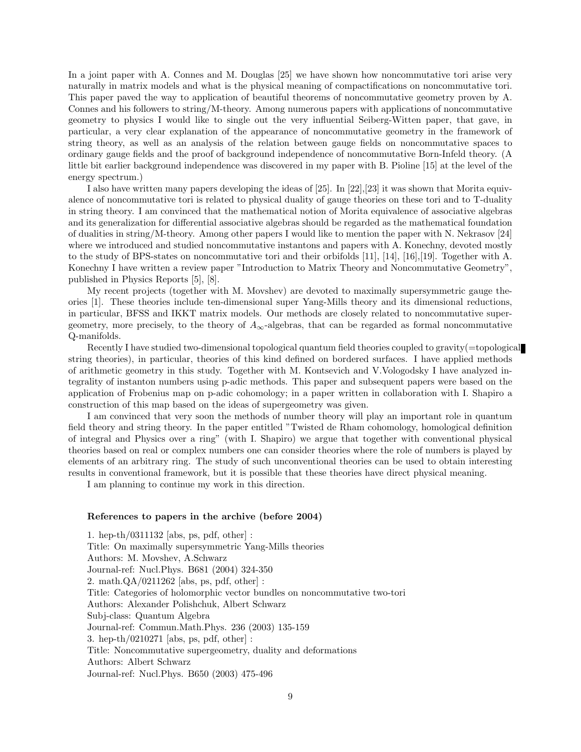In a joint paper with A. Connes and M. Douglas [25] we have shown how noncommutative tori arise very naturally in matrix models and what is the physical meaning of compactifications on noncommutative tori. This paper paved the way to application of beautiful theorems of noncommutative geometry proven by A. Connes and his followers to string/M-theory. Among numerous papers with applications of noncommutative geometry to physics I would like to single out the very influential Seiberg-Witten paper, that gave, in particular, a very clear explanation of the appearance of noncommutative geometry in the framework of string theory, as well as an analysis of the relation between gauge fields on noncommutative spaces to ordinary gauge fields and the proof of background independence of noncommutative Born-Infeld theory. (A little bit earlier background independence was discovered in my paper with B. Pioline [15] at the level of the energy spectrum.)

I also have written many papers developing the ideas of [25]. In [22],[23] it was shown that Morita equivalence of noncommutative tori is related to physical duality of gauge theories on these tori and to T-duality in string theory. I am convinced that the mathematical notion of Morita equivalence of associative algebras and its generalization for differential associative algebras should be regarded as the mathematical foundation of dualities in string/M-theory. Among other papers I would like to mention the paper with N. Nekrasov [24] where we introduced and studied noncommutative instantons and papers with A. Konechny, devoted mostly to the study of BPS-states on noncommutative tori and their orbifolds [11], [14], [16],[19]. Together with A. Konechny I have written a review paper "Introduction to Matrix Theory and Noncommutative Geometry", published in Physics Reports [5], [8].

My recent projects (together with M. Movshev) are devoted to maximally supersymmetric gauge theories [1]. These theories include ten-dimensional super Yang-Mills theory and its dimensional reductions, in particular, BFSS and IKKT matrix models. Our methods are closely related to noncommutative supergeometry, more precisely, to the theory of  $A_{\infty}$ -algebras, that can be regarded as formal noncommutative Q-manifolds.

Recently I have studied two-dimensional topological quantum field theories coupled to gravity(=topological string theories), in particular, theories of this kind defined on bordered surfaces. I have applied methods of arithmetic geometry in this study. Together with M. Kontsevich and V.Vologodsky I have analyzed integrality of instanton numbers using p-adic methods. This paper and subsequent papers were based on the application of Frobenius map on p-adic cohomology; in a paper written in collaboration with I. Shapiro a construction of this map based on the ideas of supergeometry was given.

I am convinced that very soon the methods of number theory will play an important role in quantum field theory and string theory. In the paper entitled "Twisted de Rham cohomology, homological definition of integral and Physics over a ring" (with I. Shapiro) we argue that together with conventional physical theories based on real or complex numbers one can consider theories where the role of numbers is played by elements of an arbitrary ring. The study of such unconventional theories can be used to obtain interesting results in conventional framework, but it is possible that these theories have direct physical meaning.

I am planning to continue my work in this direction.

## References to papers in the archive (before 2004)

1. hep-th/0311132 [abs, ps, pdf, other] : Title: On maximally supersymmetric Yang-Mills theories Authors: M. Movshev, A.Schwarz Journal-ref: Nucl.Phys. B681 (2004) 324-350 2. math.QA/0211262 [abs, ps, pdf, other] : Title: Categories of holomorphic vector bundles on noncommutative two-tori Authors: Alexander Polishchuk, Albert Schwarz Subj-class: Quantum Algebra Journal-ref: Commun.Math.Phys. 236 (2003) 135-159 3. hep-th/0210271 [abs, ps, pdf, other] : Title: Noncommutative supergeometry, duality and deformations Authors: Albert Schwarz Journal-ref: Nucl.Phys. B650 (2003) 475-496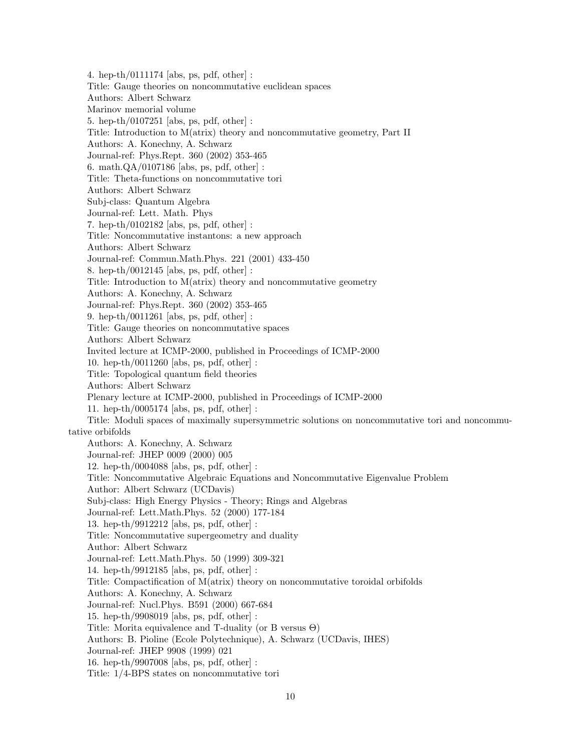4. hep-th/0111174 [abs, ps, pdf, other] : Title: Gauge theories on noncommutative euclidean spaces Authors: Albert Schwarz Marinov memorial volume 5. hep-th/0107251 [abs, ps, pdf, other] : Title: Introduction to M(atrix) theory and noncommutative geometry, Part II Authors: A. Konechny, A. Schwarz Journal-ref: Phys.Rept. 360 (2002) 353-465 6. math.QA/0107186 [abs, ps, pdf, other] : Title: Theta-functions on noncommutative tori Authors: Albert Schwarz Subj-class: Quantum Algebra Journal-ref: Lett. Math. Phys 7. hep-th/0102182 [abs, ps, pdf, other] : Title: Noncommutative instantons: a new approach Authors: Albert Schwarz Journal-ref: Commun.Math.Phys. 221 (2001) 433-450 8. hep-th/0012145 [abs, ps, pdf, other] : Title: Introduction to M(atrix) theory and noncommutative geometry Authors: A. Konechny, A. Schwarz Journal-ref: Phys.Rept. 360 (2002) 353-465 9. hep-th/0011261 [abs, ps, pdf, other] : Title: Gauge theories on noncommutative spaces Authors: Albert Schwarz Invited lecture at ICMP-2000, published in Proceedings of ICMP-2000 10. hep-th/0011260 [abs, ps, pdf, other] : Title: Topological quantum field theories Authors: Albert Schwarz Plenary lecture at ICMP-2000, published in Proceedings of ICMP-2000 11. hep-th/0005174 [abs, ps, pdf, other] : Title: Moduli spaces of maximally supersymmetric solutions on noncommutative tori and noncommutative orbifolds Authors: A. Konechny, A. Schwarz Journal-ref: JHEP 0009 (2000) 005 12. hep-th/0004088 [abs, ps, pdf, other] : Title: Noncommutative Algebraic Equations and Noncommutative Eigenvalue Problem Author: Albert Schwarz (UCDavis) Subj-class: High Energy Physics - Theory; Rings and Algebras Journal-ref: Lett.Math.Phys. 52 (2000) 177-184 13. hep-th/9912212 [abs, ps, pdf, other] : Title: Noncommutative supergeometry and duality Author: Albert Schwarz Journal-ref: Lett.Math.Phys. 50 (1999) 309-321 14. hep-th/9912185 [abs, ps, pdf, other] : Title: Compactification of M(atrix) theory on noncommutative toroidal orbifolds Authors: A. Konechny, A. Schwarz Journal-ref: Nucl.Phys. B591 (2000) 667-684 15. hep-th/9908019 [abs, ps, pdf, other] : Title: Morita equivalence and T-duality (or B versus Θ) Authors: B. Pioline (Ecole Polytechnique), A. Schwarz (UCDavis, IHES) Journal-ref: JHEP 9908 (1999) 021 16. hep-th/9907008 [abs, ps, pdf, other] : Title: 1/4-BPS states on noncommutative tori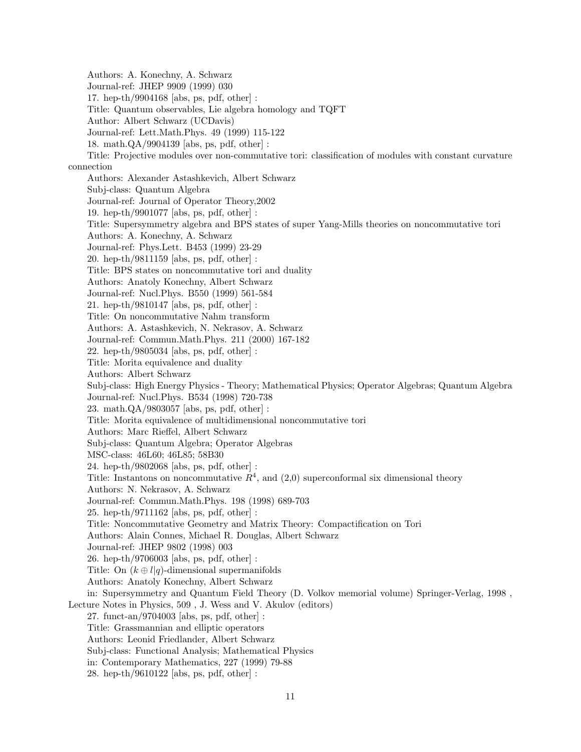Authors: A. Konechny, A. Schwarz Journal-ref: JHEP 9909 (1999) 030 17. hep-th/9904168 [abs, ps, pdf, other] : Title: Quantum observables, Lie algebra homology and TQFT Author: Albert Schwarz (UCDavis) Journal-ref: Lett.Math.Phys. 49 (1999) 115-122 18. math.QA/9904139 [abs, ps, pdf, other] : Title: Projective modules over non-commutative tori: classification of modules with constant curvature connection Authors: Alexander Astashkevich, Albert Schwarz Subj-class: Quantum Algebra Journal-ref: Journal of Operator Theory,2002 19. hep-th/9901077 [abs, ps, pdf, other] : Title: Supersymmetry algebra and BPS states of super Yang-Mills theories on noncommutative tori Authors: A. Konechny, A. Schwarz Journal-ref: Phys.Lett. B453 (1999) 23-29 20. hep-th/9811159 [abs, ps, pdf, other] : Title: BPS states on noncommutative tori and duality Authors: Anatoly Konechny, Albert Schwarz Journal-ref: Nucl.Phys. B550 (1999) 561-584 21. hep-th/9810147 [abs, ps, pdf, other] : Title: On noncommutative Nahm transform Authors: A. Astashkevich, N. Nekrasov, A. Schwarz Journal-ref: Commun.Math.Phys. 211 (2000) 167-182 22. hep-th/9805034 [abs, ps, pdf, other] : Title: Morita equivalence and duality Authors: Albert Schwarz Subj-class: High Energy Physics - Theory; Mathematical Physics; Operator Algebras; Quantum Algebra Journal-ref: Nucl.Phys. B534 (1998) 720-738 23. math.QA/9803057 [abs, ps, pdf, other] : Title: Morita equivalence of multidimensional noncommutative tori Authors: Marc Rieffel, Albert Schwarz Subj-class: Quantum Algebra; Operator Algebras MSC-class: 46L60; 46L85; 58B30 24. hep-th/9802068 [abs, ps, pdf, other] : Title: Instantons on noncommutative  $R<sup>4</sup>$ , and  $(2,0)$  superconformal six dimensional theory Authors: N. Nekrasov, A. Schwarz Journal-ref: Commun.Math.Phys. 198 (1998) 689-703 25. hep-th/9711162 [abs, ps, pdf, other] : Title: Noncommutative Geometry and Matrix Theory: Compactification on Tori Authors: Alain Connes, Michael R. Douglas, Albert Schwarz Journal-ref: JHEP 9802 (1998) 003 26. hep-th/9706003 [abs, ps, pdf, other] : Title: On  $(k \oplus l|q)$ -dimensional supermanifolds Authors: Anatoly Konechny, Albert Schwarz in: Supersymmetry and Quantum Field Theory (D. Volkov memorial volume) Springer-Verlag, 1998 , Lecture Notes in Physics, 509 , J. Wess and V. Akulov (editors) 27. funct-an/9704003 [abs, ps, pdf, other] : Title: Grassmannian and elliptic operators Authors: Leonid Friedlander, Albert Schwarz Subj-class: Functional Analysis; Mathematical Physics in: Contemporary Mathematics, 227 (1999) 79-88 28. hep-th/9610122 [abs, ps, pdf, other] :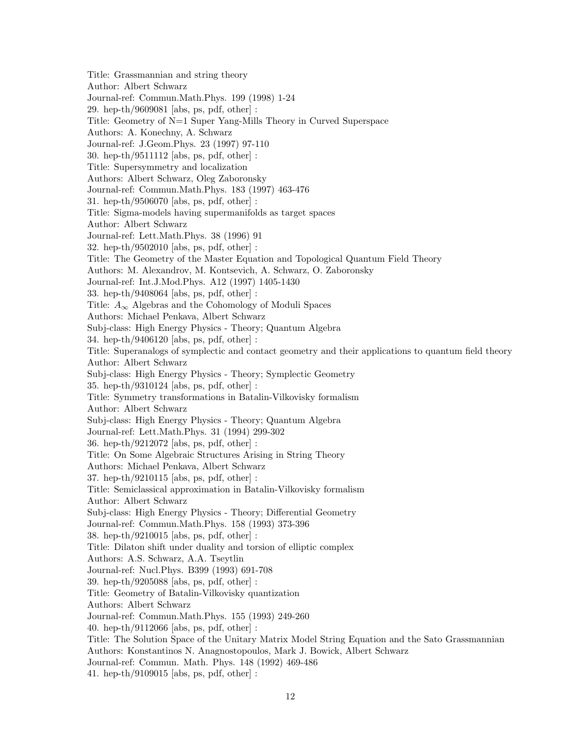Title: Grassmannian and string theory Author: Albert Schwarz Journal-ref: Commun.Math.Phys. 199 (1998) 1-24 29. hep-th/9609081 [abs, ps, pdf, other] : Title: Geometry of N=1 Super Yang-Mills Theory in Curved Superspace Authors: A. Konechny, A. Schwarz Journal-ref: J.Geom.Phys. 23 (1997) 97-110 30. hep-th/9511112 [abs, ps, pdf, other] : Title: Supersymmetry and localization Authors: Albert Schwarz, Oleg Zaboronsky Journal-ref: Commun.Math.Phys. 183 (1997) 463-476 31. hep-th/9506070 [abs, ps, pdf, other] : Title: Sigma-models having supermanifolds as target spaces Author: Albert Schwarz Journal-ref: Lett.Math.Phys. 38 (1996) 91 32. hep-th/9502010 [abs, ps, pdf, other] : Title: The Geometry of the Master Equation and Topological Quantum Field Theory Authors: M. Alexandrov, M. Kontsevich, A. Schwarz, O. Zaboronsky Journal-ref: Int.J.Mod.Phys. A12 (1997) 1405-1430 33. hep-th/9408064 [abs, ps, pdf, other] : Title:  $A_{\infty}$  Algebras and the Cohomology of Moduli Spaces Authors: Michael Penkava, Albert Schwarz Subj-class: High Energy Physics - Theory; Quantum Algebra 34. hep-th/9406120 [abs, ps, pdf, other] : Title: Superanalogs of symplectic and contact geometry and their applications to quantum field theory Author: Albert Schwarz Subj-class: High Energy Physics - Theory; Symplectic Geometry 35. hep-th/9310124 [abs, ps, pdf, other] : Title: Symmetry transformations in Batalin-Vilkovisky formalism Author: Albert Schwarz Subj-class: High Energy Physics - Theory; Quantum Algebra Journal-ref: Lett.Math.Phys. 31 (1994) 299-302 36. hep-th/9212072 [abs, ps, pdf, other] : Title: On Some Algebraic Structures Arising in String Theory Authors: Michael Penkava, Albert Schwarz 37. hep-th/9210115 [abs, ps, pdf, other] : Title: Semiclassical approximation in Batalin-Vilkovisky formalism Author: Albert Schwarz Subj-class: High Energy Physics - Theory; Differential Geometry Journal-ref: Commun.Math.Phys. 158 (1993) 373-396 38. hep-th/9210015 [abs, ps, pdf, other] : Title: Dilaton shift under duality and torsion of elliptic complex Authors: A.S. Schwarz, A.A. Tseytlin Journal-ref: Nucl.Phys. B399 (1993) 691-708 39. hep-th/9205088 [abs, ps, pdf, other] : Title: Geometry of Batalin-Vilkovisky quantization Authors: Albert Schwarz Journal-ref: Commun.Math.Phys. 155 (1993) 249-260 40. hep-th/9112066 [abs, ps, pdf, other] : Title: The Solution Space of the Unitary Matrix Model String Equation and the Sato Grassmannian Authors: Konstantinos N. Anagnostopoulos, Mark J. Bowick, Albert Schwarz Journal-ref: Commun. Math. Phys. 148 (1992) 469-486 41. hep-th/9109015 [abs, ps, pdf, other] :